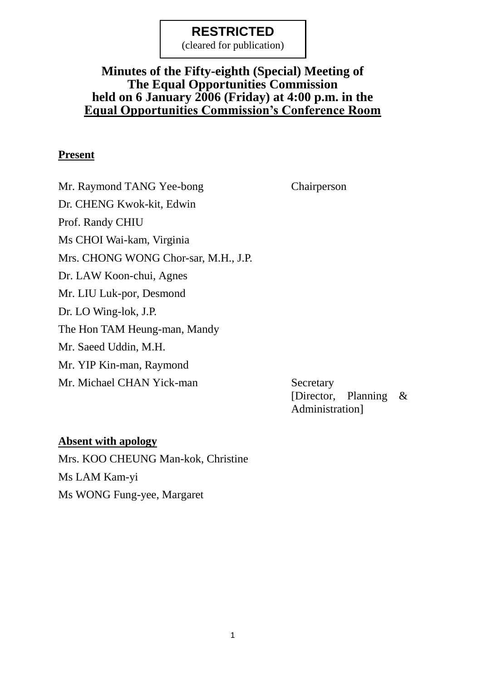(cleared for publication)

### **Minutes of the Fifty-eighth (Special) Meeting of The Equal Opportunities Commission held on 6 January 2006 (Friday) at 4:00 p.m. in the Equal Opportunities Commission's Conference Room**

#### **Present**

Mr. Raymond TANG Yee-bong Chairperson Dr. CHENG Kwok-kit, Edwin Prof. Randy CHIU Ms CHOI Wai-kam, Virginia Mrs. CHONG WONG Chor-sar, M.H., J.P. Dr. LAW Koon-chui, Agnes Mr. LIU Luk-por, Desmond Dr. LO Wing-lok, J.P. The Hon TAM Heung-man, Mandy Mr. Saeed Uddin, M.H. Mr. YIP Kin-man, Raymond Mr. Michael CHAN Yick-man Secretary

[Director, Planning & Administration]

### **Absent with apology**

Mrs. KOO CHEUNG Man-kok, Christine Ms LAM Kam-yi Ms WONG Fung-yee, Margaret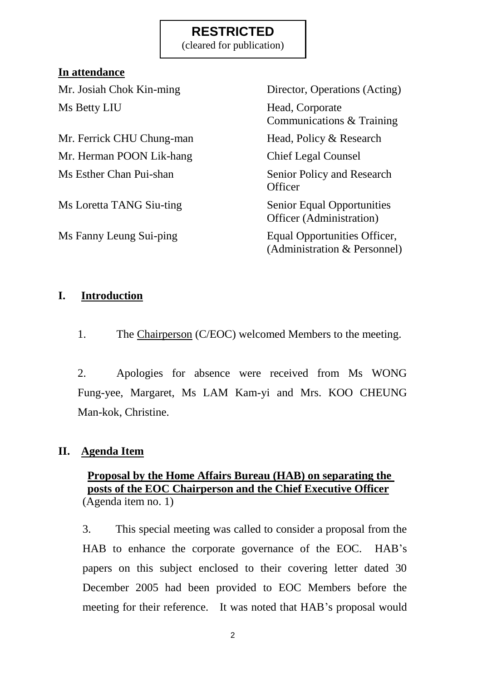(cleared for publication)

### **In attendance**

Ms Betty LIU Head, Corporate

Mr. Ferrick CHU Chung-man Head, Policy & Research Mr. Herman POON Lik-hang Chief Legal Counsel Ms Esther Chan Pui-shan Senior Policy and Research

Ms Loretta TANG Siu-ting Senior Equal Opportunities

Mr. Josiah Chok Kin-ming Director, Operations (Acting) Communications & Training **Officer** Officer (Administration) Ms Fanny Leung Sui-ping Equal Opportunities Officer, (Administration & Personnel)

### **I. Introduction**

1. The Chairperson (C/EOC) welcomed Members to the meeting.

2. Apologies for absence were received from Ms WONG Fung-yee, Margaret, Ms LAM Kam-yi and Mrs. KOO CHEUNG Man-kok, Christine.

### **II. Agenda Item**

### **Proposal by the Home Affairs Bureau (HAB) on separating the posts of the EOC Chairperson and the Chief Executive Officer** (Agenda item no. 1)

3. This special meeting was called to consider a proposal from the HAB to enhance the corporate governance of the EOC. HAB's papers on this subject enclosed to their covering letter dated 30 December 2005 had been provided to EOC Members before the meeting for their reference. It was noted that HAB's proposal would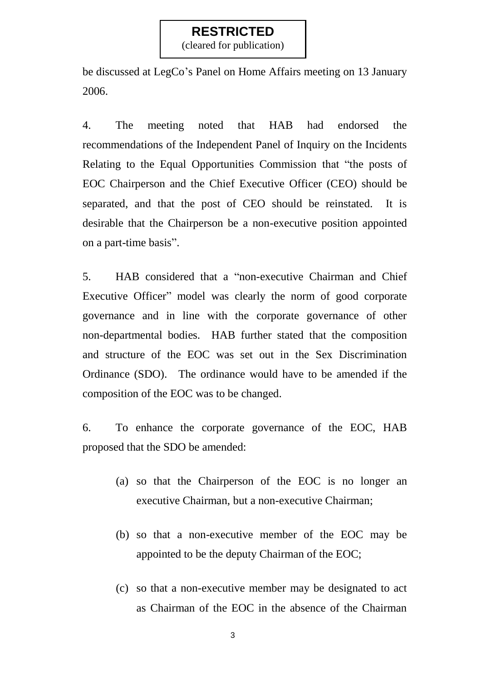(cleared for publication)

be discussed at LegCo's Panel on Home Affairs meeting on 13 January 2006.

4. The meeting noted that HAB had endorsed the recommendations of the Independent Panel of Inquiry on the Incidents Relating to the Equal Opportunities Commission that "the posts of EOC Chairperson and the Chief Executive Officer (CEO) should be separated, and that the post of CEO should be reinstated. It is desirable that the Chairperson be a non-executive position appointed on a part-time basis".

5. HAB considered that a "non-executive Chairman and Chief Executive Officer" model was clearly the norm of good corporate governance and in line with the corporate governance of other non-departmental bodies. HAB further stated that the composition and structure of the EOC was set out in the Sex Discrimination Ordinance (SDO). The ordinance would have to be amended if the composition of the EOC was to be changed.

6. To enhance the corporate governance of the EOC, HAB proposed that the SDO be amended:

- (a) so that the Chairperson of the EOC is no longer an executive Chairman, but a non-executive Chairman;
- (b) so that a non-executive member of the EOC may be appointed to be the deputy Chairman of the EOC;
- (c) so that a non-executive member may be designated to act as Chairman of the EOC in the absence of the Chairman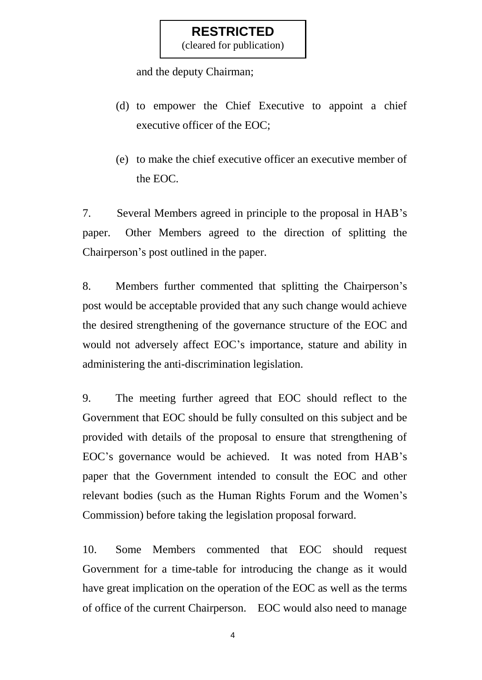(cleared for publication)

and the deputy Chairman;

- (d) to empower the Chief Executive to appoint a chief executive officer of the EOC;
- (e) to make the chief executive officer an executive member of the EOC.

7. Several Members agreed in principle to the proposal in HAB's paper. Other Members agreed to the direction of splitting the Chairperson's post outlined in the paper.

8. Members further commented that splitting the Chairperson's post would be acceptable provided that any such change would achieve the desired strengthening of the governance structure of the EOC and would not adversely affect EOC's importance, stature and ability in administering the anti-discrimination legislation.

9. The meeting further agreed that EOC should reflect to the Government that EOC should be fully consulted on this subject and be provided with details of the proposal to ensure that strengthening of EOC's governance would be achieved. It was noted from HAB's paper that the Government intended to consult the EOC and other relevant bodies (such as the Human Rights Forum and the Women's Commission) before taking the legislation proposal forward.

10. Some Members commented that EOC should request Government for a time-table for introducing the change as it would have great implication on the operation of the EOC as well as the terms of office of the current Chairperson. EOC would also need to manage

4